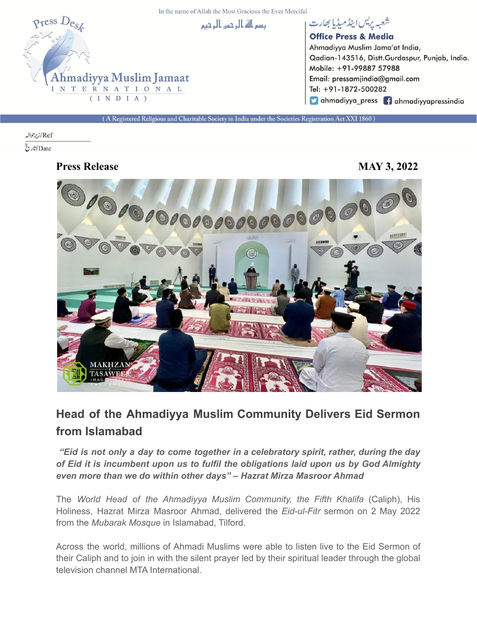In the name of Allah the Most Gracious the Ever Merciful



شعبه يريس اينڈ میڈیا بھارت **Office Press & Media** Ahmadiyya Muslim Jama'at India, Qadian-143516, Distt.Gurdaspur, Punjab, India. Mobile: +91-99887 57988 Email: pressamjindia@gmail.com Tel: +91-1872-500282 Cahmadiyya\_press fahmadiyyapressindia

A Registered Religious and Charitable Society in India under the Societies Registration Act XXI 1860)

## Ref/زيرحواله  $\tilde{\mathcal{E}}$ اتاری $\mathcal{E}$

**Press Release MAY 3, 2022**



## **Head of the Ahmadiyya Muslim Community Delivers Eid Sermon from Islamabad**

*"Eid is not only a day to come together in a celebratory spirit, rather, during the day of Eid it is incumbent upon us to fulfil the obligations laid upon us by God Almighty even more than we do within other days" – Hazrat Mirza Masroor Ahmad*

The *World Head of the Ahmadiyya Muslim Community, the Fifth Khalifa* (Caliph), His Holiness, Hazrat Mirza Masroor Ahmad, delivered the *Eid-ul-Fitr* sermon on 2 May 2022 from the *Mubarak Mosque* in Islamabad, Tilford.

Across the world, millions of Ahmadi Muslims were able to listen live to the Eid Sermon of their Caliph and to join in with the silent prayer led by their spiritual leader through the global television channel MTA International.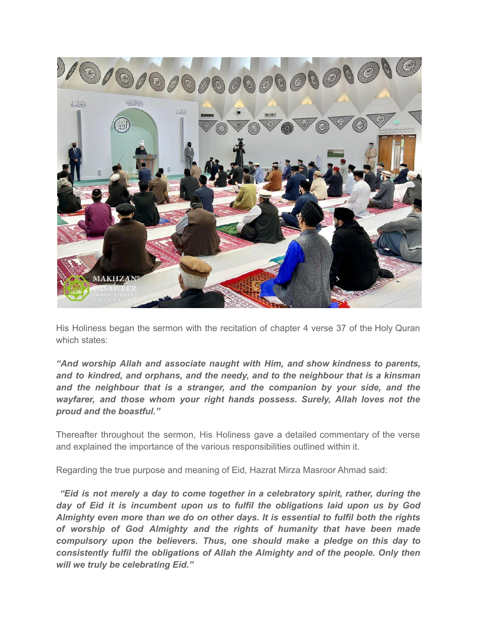

His Holiness began the sermon with the recitation of chapter 4 verse 37 of the Holy Quran which states:

*"And worship Allah and associate naught with Him, and show kindness to parents, and to kindred, and orphans, and the needy, and to the neighbour that is a kinsman and the neighbour that is a stranger, and the companion by your side, and the wayfarer, and those whom your right hands possess. Surely, Allah loves not the proud and the boastful."*

Thereafter throughout the sermon, His Holiness gave a detailed commentary of the verse and explained the importance of the various responsibilities outlined within it.

Regarding the true purpose and meaning of Eid, Hazrat Mirza Masroor Ahmad said:

*"Eid is not merely a day to come together in a celebratory spirit, rather, during the day of Eid it is incumbent upon us to fulfil the obligations laid upon us by God Almighty even more than we do on other days. It is essential to fulfil both the rights of worship of God Almighty and the rights of humanity that have been made compulsory upon the believers. Thus, one should make a pledge on this day to consistently fulfil the obligations of Allah the Almighty and of the people. Only then will we truly be celebrating Eid."*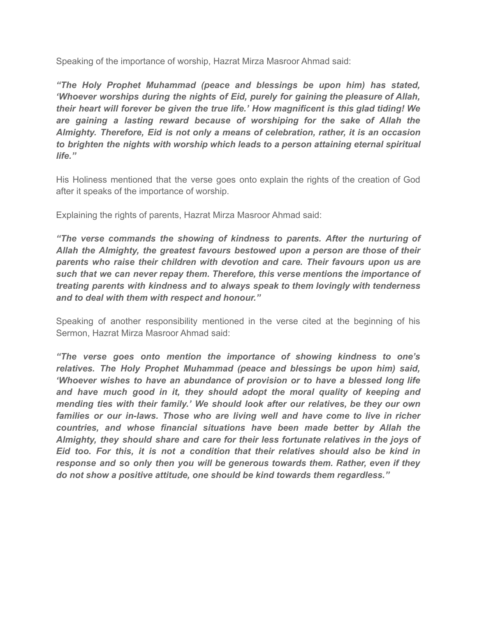Speaking of the importance of worship, Hazrat Mirza Masroor Ahmad said:

*"The Holy Prophet Muhammad (peace and blessings be upon him) has stated, 'Whoever worships during the nights of Eid, purely for gaining the pleasure of Allah, their heart will forever be given the true life.' How magnificent is this glad tiding! We are gaining a lasting reward because of worshiping for the sake of Allah the Almighty. Therefore, Eid is not only a means of celebration, rather, it is an occasion to brighten the nights with worship which leads to a person attaining eternal spiritual life."*

His Holiness mentioned that the verse goes onto explain the rights of the creation of God after it speaks of the importance of worship.

Explaining the rights of parents, Hazrat Mirza Masroor Ahmad said:

*"The verse commands the showing of kindness to parents. After the nurturing of Allah the Almighty, the greatest favours bestowed upon a person are those of their parents who raise their children with devotion and care. Their favours upon us are such that we can never repay them. Therefore, this verse mentions the importance of treating parents with kindness and to always speak to them lovingly with tenderness and to deal with them with respect and honour."*

Speaking of another responsibility mentioned in the verse cited at the beginning of his Sermon, Hazrat Mirza Masroor Ahmad said:

*"The verse goes onto mention the importance of showing kindness to one's relatives. The Holy Prophet Muhammad (peace and blessings be upon him) said, 'Whoever wishes to have an abundance of provision or to have a blessed long life and have much good in it, they should adopt the moral quality of keeping and mending ties with their family.' We should look after our relatives, be they our own families or our in-laws. Those who are living well and have come to live in richer countries, and whose financial situations have been made better by Allah the Almighty, they should share and care for their less fortunate relatives in the joys of Eid too. For this, it is not a condition that their relatives should also be kind in response and so only then you will be generous towards them. Rather, even if they do not show a positive attitude, one should be kind towards them regardless."*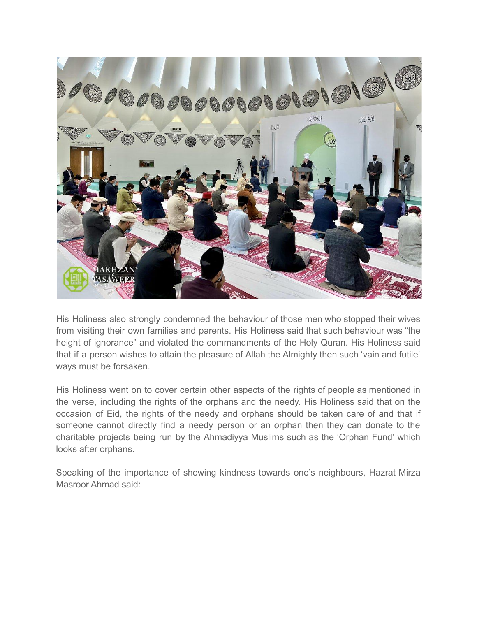

His Holiness also strongly condemned the behaviour of those men who stopped their wives from visiting their own families and parents. His Holiness said that such behaviour was "the height of ignorance" and violated the commandments of the Holy Quran. His Holiness said that if a person wishes to attain the pleasure of Allah the Almighty then such 'vain and futile' ways must be forsaken.

His Holiness went on to cover certain other aspects of the rights of people as mentioned in the verse, including the rights of the orphans and the needy. His Holiness said that on the occasion of Eid, the rights of the needy and orphans should be taken care of and that if someone cannot directly find a needy person or an orphan then they can donate to the charitable projects being run by the Ahmadiyya Muslims such as the 'Orphan Fund' which looks after orphans.

Speaking of the importance of showing kindness towards one's neighbours, Hazrat Mirza Masroor Ahmad said: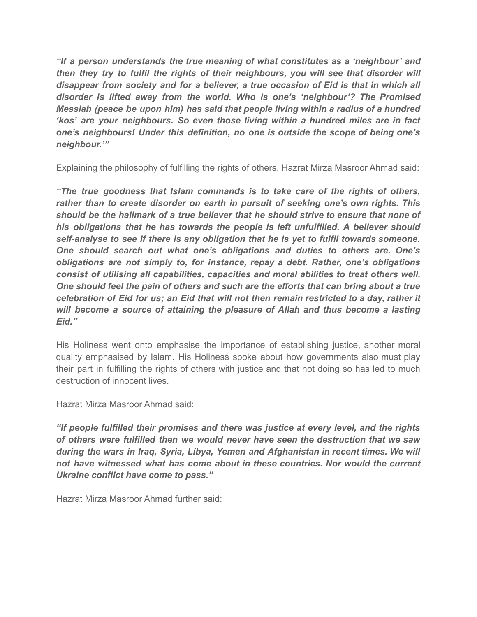*"If a person understands the true meaning of what constitutes as a 'neighbour' and then they try to fulfil the rights of their neighbours, you will see that disorder will disappear from society and for a believer, a true occasion of Eid is that in which all disorder is lifted away from the world. Who is one's 'neighbour'? The Promised Messiah (peace be upon him) has said that people living within a radius of a hundred 'kos' are your neighbours. So even those living within a hundred miles are in fact one's neighbours! Under this definition, no one is outside the scope of being one's neighbour.'"*

Explaining the philosophy of fulfilling the rights of others, Hazrat Mirza Masroor Ahmad said:

*"The true goodness that Islam commands is to take care of the rights of others, rather than to create disorder on earth in pursuit of seeking one's own rights. This should be the hallmark of a true believer that he should strive to ensure that none of his obligations that he has towards the people is left unfulfilled. A believer should self-analyse to see if there is any obligation that he is yet to fulfil towards someone. One should search out what one's obligations and duties to others are. One's obligations are not simply to, for instance, repay a debt. Rather, one's obligations consist of utilising all capabilities, capacities and moral abilities to treat others well. One should feel the pain of others and such are the efforts that can bring about a true celebration of Eid for us; an Eid that will not then remain restricted to a day, rather it will become a source of attaining the pleasure of Allah and thus become a lasting Eid."*

His Holiness went onto emphasise the importance of establishing justice, another moral quality emphasised by Islam. His Holiness spoke about how governments also must play their part in fulfilling the rights of others with justice and that not doing so has led to much destruction of innocent lives.

Hazrat Mirza Masroor Ahmad said:

*"If people fulfilled their promises and there was justice at every level, and the rights of others were fulfilled then we would never have seen the destruction that we saw during the wars in Iraq, Syria, Libya, Yemen and Afghanistan in recent times. We will not have witnessed what has come about in these countries. Nor would the current Ukraine conflict have come to pass."*

Hazrat Mirza Masroor Ahmad further said: